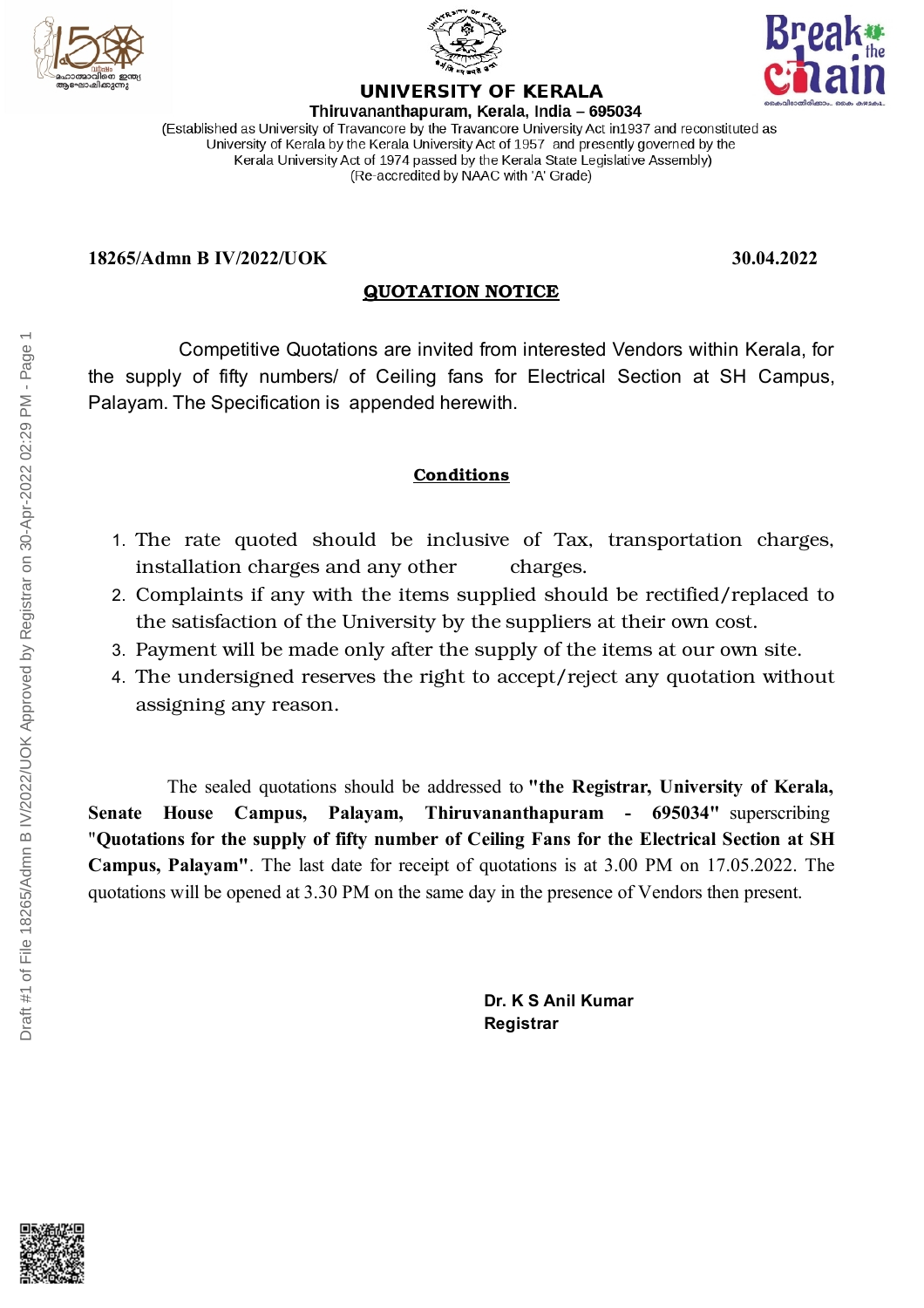



Thiruvananthapuram, Kerala, India - 695034 (Established as University of Travancore by the Travancore University Act in 1937 and reconstituted as University of Kerala by the Kerala University Act of 1957 and presently governed by the Kerala University Act of 1974 passed by the Kerala State Legislative Assembly) (Re-accredited by NAAC with 'A' Grade)

**UNIVERSITY OF KERALA** 

### **18265/Admn B IV/2022/UOK 30.04.2022**

## **QUOTATION NOTICE**

Competitive Quotations are invited from interested Vendors within Kerala, for the supply of fifty numbers/ of Ceiling fans for Electrical Section at SH Campus, Palayam. The Specification is appended herewith.

# **Conditions**

- 1. The rate quoted should be inclusive of Tax, transportation charges, installation charges and any other charges.
- 2. Complaints if any with the items supplied should be rectified/replaced to the satisfaction of the University by the suppliers at their own cost.
- 3. Payment will be made only after the supply of the items at our own site.
- 4. The undersigned reserves the right to accept/reject any quotation without assigning any reason.

The sealed quotations should be addressed to **"the Registrar, University of Kerala, Senate House Campus, Palayam, Thiruvananthapuram - 695034"** superscribing "**Quotations for the supply of fifty number of Ceiling Fans for the Electrical Section at SH Campus, Palayam"**. The last date for receipt of quotations is at 3.00 PM on 17.05.2022. The quotations will be opened at 3.30 PM on the same day in the presence of Vendors then present.

> **Dr. K S Anil Kumar Registrar**